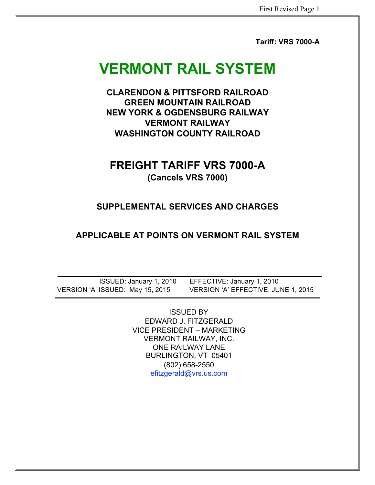**Tariff: VRS 7000-A** 

# **VERMONT RAIL SYSTEM**

**CLARENDON & PITTSFORD RAILROAD GREEN MOUNTAIN RAILROAD NEW YORK & OGDENSBURG RAILWAY VERMONT RAILWAY WASHINGTON COUNTY RAILROAD** 

## **FREIGHT TARIFF VRS 7000-A (Cancels VRS 7000)**

## **SUPPLEMENTAL SERVICES AND CHARGES**

## **APPLICABLE AT POINTS ON VERMONT RAIL SYSTEM**

ISSUED: January 1, 2010 EFFECTIVE: January 1, 2010 VERSION 'A' ISSUED: May 15, 2015 VERSION 'A' EFFECTIVE: JUNE 1, 2015

> ISSUED BY EDWARD J. FITZGERALD VICE PRESIDENT – MARKETING VERMONT RAILWAY, INC. ONE RAILWAY LANE BURLINGTON, VT 05401 (802) 658-2550 efitzgerald@vrs.us.com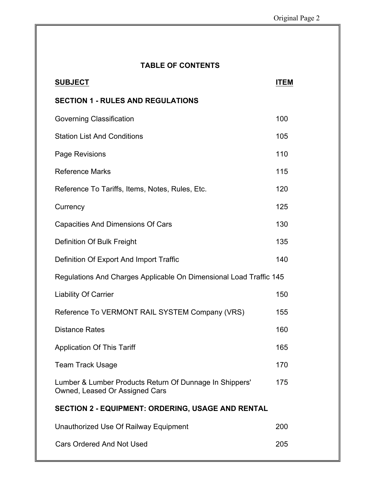| <b>TABLE OF CONTENTS</b>                                                                  |             |
|-------------------------------------------------------------------------------------------|-------------|
| <b>SUBJECT</b>                                                                            | <b>ITEM</b> |
| <b>SECTION 1 - RULES AND REGULATIONS</b>                                                  |             |
| Governing Classification                                                                  | 100         |
| <b>Station List And Conditions</b>                                                        | 105         |
| Page Revisions                                                                            | 110         |
| <b>Reference Marks</b>                                                                    | 115         |
| Reference To Tariffs, Items, Notes, Rules, Etc.                                           | 120         |
| Currency                                                                                  | 125         |
| <b>Capacities And Dimensions Of Cars</b>                                                  | 130         |
| Definition Of Bulk Freight                                                                | 135         |
| Definition Of Export And Import Traffic                                                   | 140         |
| Regulations And Charges Applicable On Dimensional Load Traffic 145                        |             |
| <b>Liability Of Carrier</b>                                                               | 150         |
| Reference To VERMONT RAIL SYSTEM Company (VRS)                                            | 155         |
| <b>Distance Rates</b>                                                                     | 160         |
| <b>Application Of This Tariff</b>                                                         | 165         |
| <b>Team Track Usage</b>                                                                   | 170         |
| Lumber & Lumber Products Return Of Dunnage In Shippers'<br>Owned, Leased Or Assigned Cars | 175         |
| <b>SECTION 2 - EQUIPMENT: ORDERING, USAGE AND RENTAL</b>                                  |             |
| Unauthorized Use Of Railway Equipment                                                     | 200         |
| <b>Cars Ordered And Not Used</b>                                                          | 205         |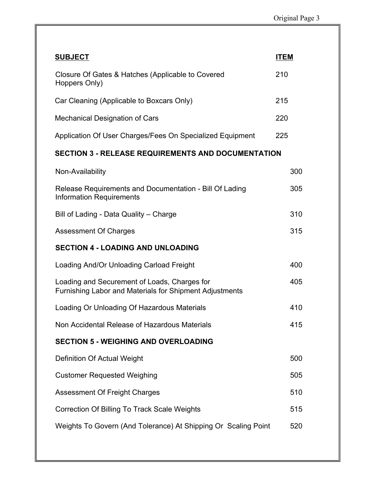| <b>SUBJECT</b>                                                                                          | <b>ITEM</b> |
|---------------------------------------------------------------------------------------------------------|-------------|
| Closure Of Gates & Hatches (Applicable to Covered<br>Hoppers Only)                                      | 210         |
| Car Cleaning (Applicable to Boxcars Only)                                                               | 215         |
| <b>Mechanical Designation of Cars</b>                                                                   | 220         |
| Application Of User Charges/Fees On Specialized Equipment                                               | 225         |
| <b>SECTION 3 - RELEASE REQUIREMENTS AND DOCUMENTATION</b>                                               |             |
| Non-Availability                                                                                        | 300         |
| Release Requirements and Documentation - Bill Of Lading<br><b>Information Requirements</b>              | 305         |
| Bill of Lading - Data Quality - Charge                                                                  | 310         |
| <b>Assessment Of Charges</b>                                                                            | 315         |
| <b>SECTION 4 - LOADING AND UNLOADING</b>                                                                |             |
| Loading And/Or Unloading Carload Freight                                                                | 400         |
| Loading and Securement of Loads, Charges for<br>Furnishing Labor and Materials for Shipment Adjustments | 405         |
| Loading Or Unloading Of Hazardous Materials                                                             | 410         |
| Non Accidental Release of Hazardous Materials                                                           | 415         |
| <b>SECTION 5 - WEIGHING AND OVERLOADING</b>                                                             |             |
| Definition Of Actual Weight                                                                             | 500         |
| <b>Customer Requested Weighing</b>                                                                      | 505         |
| <b>Assessment Of Freight Charges</b>                                                                    | 510         |
| Correction Of Billing To Track Scale Weights                                                            | 515         |
| Weights To Govern (And Tolerance) At Shipping Or Scaling Point                                          | 520         |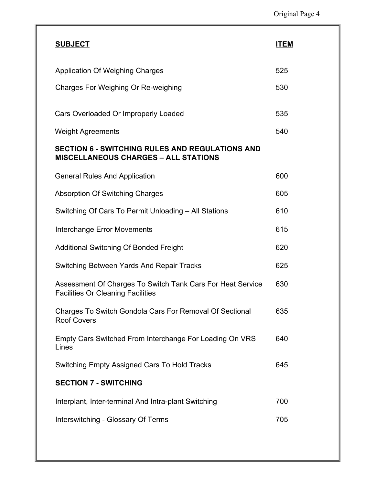| <b>SUBJECT</b>                                                                                         | <b>ITEM</b> |
|--------------------------------------------------------------------------------------------------------|-------------|
| Application Of Weighing Charges                                                                        | 525         |
| Charges For Weighing Or Re-weighing                                                                    | 530         |
| Cars Overloaded Or Improperly Loaded                                                                   | 535         |
| <b>Weight Agreements</b>                                                                               | 540         |
| <b>SECTION 6 - SWITCHING RULES AND REGULATIONS AND</b><br><b>MISCELLANEOUS CHARGES - ALL STATIONS</b>  |             |
| <b>General Rules And Application</b>                                                                   | 600         |
| <b>Absorption Of Switching Charges</b>                                                                 | 605         |
| Switching Of Cars To Permit Unloading - All Stations                                                   | 610         |
| <b>Interchange Error Movements</b>                                                                     | 615         |
| <b>Additional Switching Of Bonded Freight</b>                                                          | 620         |
| Switching Between Yards And Repair Tracks                                                              | 625         |
| Assessment Of Charges To Switch Tank Cars For Heat Service<br><b>Facilities Or Cleaning Facilities</b> | 630         |
| Charges To Switch Gondola Cars For Removal Of Sectional<br><b>Roof Covers</b>                          | 635         |
| Empty Cars Switched From Interchange For Loading On VRS<br>Lines                                       | 640         |
| <b>Switching Empty Assigned Cars To Hold Tracks</b>                                                    | 645         |
| <b>SECTION 7 - SWITCHING</b>                                                                           |             |
| Interplant, Inter-terminal And Intra-plant Switching                                                   | 700         |
| Interswitching - Glossary Of Terms                                                                     | 705         |
|                                                                                                        |             |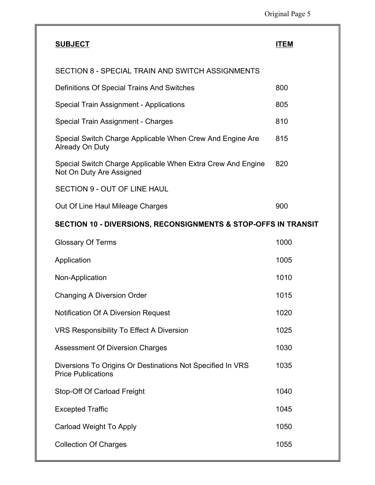| <b>SUBJECT</b>                                                                          | <b>ITEM</b> |
|-----------------------------------------------------------------------------------------|-------------|
| SECTION 8 - SPECIAL TRAIN AND SWITCH ASSIGNMENTS                                        |             |
| Definitions Of Special Trains And Switches                                              | 800         |
| Special Train Assignment - Applications                                                 | 805         |
| Special Train Assignment - Charges                                                      | 810         |
| Special Switch Charge Applicable When Crew And Engine Are<br>Already On Duty            | 815         |
| Special Switch Charge Applicable When Extra Crew And Engine<br>Not On Duty Are Assigned | 820         |
| <b>SECTION 9 - OUT OF LINE HAUL</b>                                                     |             |
| Out Of Line Haul Mileage Charges                                                        | 900         |
| SECTION 10 - DIVERSIONS, RECONSIGNMENTS & STOP-OFFS IN TRANSIT                          |             |
| <b>Glossary Of Terms</b>                                                                | 1000        |
| Application                                                                             | 1005        |
| Non-Application                                                                         | 1010        |
| Changing A Diversion Order                                                              | 1015        |
| <b>Notification Of A Diversion Request</b>                                              | 1020        |
| <b>VRS Responsibility To Effect A Diversion</b>                                         | 1025        |
| <b>Assessment Of Diversion Charges</b>                                                  | 1030        |
| Diversions To Origins Or Destinations Not Specified In VRS<br><b>Price Publications</b> | 1035        |
| Stop-Off Of Carload Freight                                                             | 1040        |
| <b>Excepted Traffic</b>                                                                 | 1045        |
| <b>Carload Weight To Apply</b>                                                          | 1050        |
| <b>Collection Of Charges</b>                                                            | 1055        |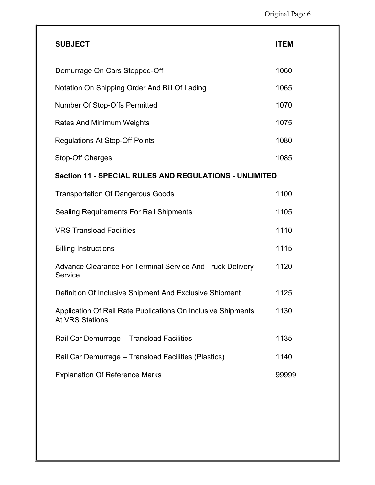| <b>SUBJECT</b>                                                                         | <b>ITEM</b> |
|----------------------------------------------------------------------------------------|-------------|
| Demurrage On Cars Stopped-Off                                                          | 1060        |
| Notation On Shipping Order And Bill Of Lading                                          | 1065        |
| Number Of Stop-Offs Permitted                                                          | 1070        |
| Rates And Minimum Weights                                                              | 1075        |
| <b>Regulations At Stop-Off Points</b>                                                  | 1080        |
| Stop-Off Charges                                                                       | 1085        |
| <b>Section 11 - SPECIAL RULES AND REGULATIONS - UNLIMITED</b>                          |             |
| <b>Transportation Of Dangerous Goods</b>                                               | 1100        |
| <b>Sealing Requirements For Rail Shipments</b>                                         | 1105        |
| <b>VRS Transload Facilities</b>                                                        | 1110        |
| <b>Billing Instructions</b>                                                            | 1115        |
| Advance Clearance For Terminal Service And Truck Delivery<br>Service                   | 1120        |
| Definition Of Inclusive Shipment And Exclusive Shipment                                | 1125        |
| Application Of Rail Rate Publications On Inclusive Shipments<br><b>At VRS Stations</b> | 1130        |
| Rail Car Demurrage - Transload Facilities                                              | 1135        |
| Rail Car Demurrage - Transload Facilities (Plastics)                                   | 1140        |
| <b>Explanation Of Reference Marks</b>                                                  | 99999       |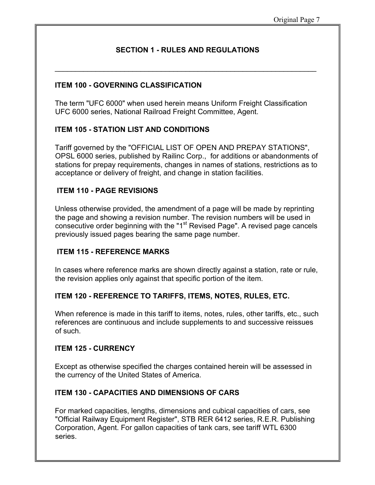$\mathcal{L}_\text{max}$  and  $\mathcal{L}_\text{max}$  and  $\mathcal{L}_\text{max}$  and  $\mathcal{L}_\text{max}$  and  $\mathcal{L}_\text{max}$ 

## **ITEM 100 - GOVERNING CLASSIFICATION**

The term "UFC 6000" when used herein means Uniform Freight Classification UFC 6000 series, National Railroad Freight Committee, Agent.

## **ITEM 105 - STATION LIST AND CONDITIONS**

Tariff governed by the "OFFICIAL LIST OF OPEN AND PREPAY STATIONS", OPSL 6000 series, published by Railinc Corp., for additions or abandonments of stations for prepay requirements, changes in names of stations, restrictions as to acceptance or delivery of freight, and change in station facilities.

## **ITEM 110 - PAGE REVISIONS**

Unless otherwise provided, the amendment of a page will be made by reprinting the page and showing a revision number. The revision numbers will be used in consecutive order beginning with the "1 $<sup>st</sup>$  Revised Page". A revised page cancels</sup> previously issued pages bearing the same page number.

## **ITEM 115 - REFERENCE MARKS**

In cases where reference marks are shown directly against a station, rate or rule, the revision applies only against that specific portion of the item.

## **ITEM 120 - REFERENCE TO TARIFFS, ITEMS, NOTES, RULES, ETC.**

When reference is made in this tariff to items, notes, rules, other tariffs, etc., such references are continuous and include supplements to and successive reissues of such.

#### **ITEM 125 - CURRENCY**

Except as otherwise specified the charges contained herein will be assessed in the currency of the United States of America.

## **ITEM 130 - CAPACITIES AND DIMENSIONS OF CARS**

For marked capacities, lengths, dimensions and cubical capacities of cars, see "Official Railway Equipment Register", STB RER 6412 series, R.E.R. Publishing Corporation, Agent. For gallon capacities of tank cars, see tariff WTL 6300 series.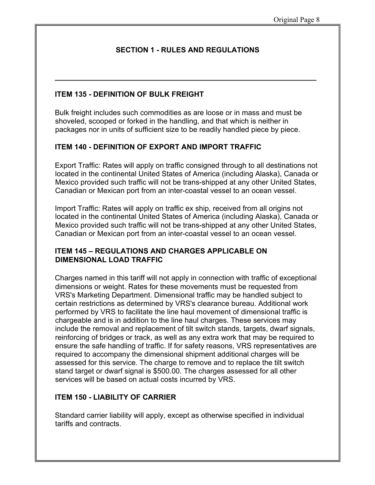**\_\_\_\_\_\_\_\_\_\_\_\_\_\_\_\_\_\_\_\_\_\_\_\_\_\_\_\_\_\_\_\_\_\_\_\_\_\_\_\_\_\_\_\_\_\_\_\_\_\_\_\_\_\_\_\_\_\_\_\_\_\_\_\_** 

## **ITEM 135 - DEFINITION OF BULK FREIGHT**

Bulk freight includes such commodities as are loose or in mass and must be shoveled, scooped or forked in the handling, and that which is neither in packages nor in units of sufficient size to be readily handled piece by piece.

## **ITEM 140 - DEFINITION OF EXPORT AND IMPORT TRAFFIC**

Export Traffic: Rates will apply on traffic consigned through to all destinations not located in the continental United States of America (including Alaska), Canada or Mexico provided such traffic will not be trans-shipped at any other United States, Canadian or Mexican port from an inter-coastal vessel to an ocean vessel.

Import Traffic: Rates will apply on traffic ex ship, received from all origins not located in the continental United States of America (including Alaska), Canada or Mexico provided such traffic will not be trans-shipped at any other United States, Canadian or Mexican port from an inter-coastal vessel to an ocean vessel.

## **ITEM 145 – REGULATIONS AND CHARGES APPLICABLE ON DIMENSIONAL LOAD TRAFFIC**

Charges named in this tariff will not apply in connection with traffic of exceptional dimensions or weight. Rates for these movements must be requested from VRS's Marketing Department. Dimensional traffic may be handled subject to certain restrictions as determined by VRS's clearance bureau. Additional work performed by VRS to facilitate the line haul movement of dimensional traffic is chargeable and is in addition to the line haul charges. These services may include the removal and replacement of tilt switch stands, targets, dwarf signals, reinforcing of bridges or track, as well as any extra work that may be required to ensure the safe handling of traffic. If for safety reasons, VRS representatives are required to accompany the dimensional shipment additional charges will be assessed for this service. The charge to remove and to replace the tilt switch stand target or dwarf signal is \$500.00. The charges assessed for all other services will be based on actual costs incurred by VRS.

#### **ITEM 150 - LIABILITY OF CARRIER**

Standard carrier liability will apply, except as otherwise specified in individual tariffs and contracts.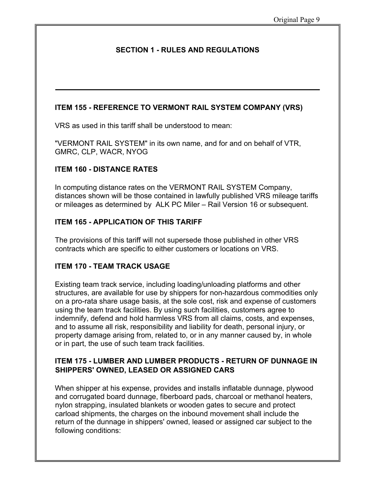## **ITEM 155 - REFERENCE TO VERMONT RAIL SYSTEM COMPANY (VRS)**

VRS as used in this tariff shall be understood to mean:

"VERMONT RAIL SYSTEM" in its own name, and for and on behalf of VTR, GMRC, CLP, WACR, NYOG

## **ITEM 160 - DISTANCE RATES**

In computing distance rates on the VERMONT RAIL SYSTEM Company, distances shown will be those contained in lawfully published VRS mileage tariffs or mileages as determined by ALK PC Miler – Rail Version 16 or subsequent.

## **ITEM 165 - APPLICATION OF THIS TARIFF**

The provisions of this tariff will not supersede those published in other VRS contracts which are specific to either customers or locations on VRS.

## **ITEM 170 - TEAM TRACK USAGE**

Existing team track service, including loading/unloading platforms and other structures, are available for use by shippers for non-hazardous commodities only on a pro-rata share usage basis, at the sole cost, risk and expense of customers using the team track facilities. By using such facilities, customers agree to indemnify, defend and hold harmless VRS from all claims, costs, and expenses, and to assume all risk, responsibility and liability for death, personal injury, or property damage arising from, related to, or in any manner caused by, in whole or in part, the use of such team track facilities.

## **ITEM 175 - LUMBER AND LUMBER PRODUCTS - RETURN OF DUNNAGE IN SHIPPERS' OWNED, LEASED OR ASSIGNED CARS**

When shipper at his expense, provides and installs inflatable dunnage, plywood and corrugated board dunnage, fiberboard pads, charcoal or methanol heaters, nylon strapping, insulated blankets or wooden gates to secure and protect carload shipments, the charges on the inbound movement shall include the return of the dunnage in shippers' owned, leased or assigned car subject to the following conditions: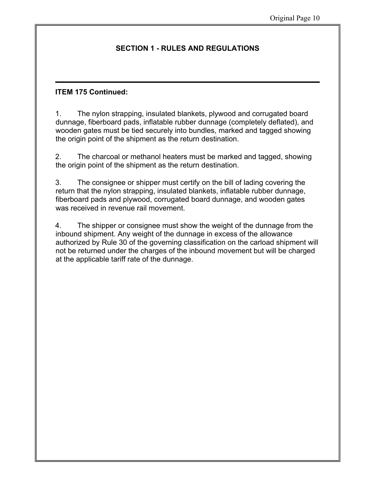## **ITEM 175 Continued:**

1. The nylon strapping, insulated blankets, plywood and corrugated board dunnage, fiberboard pads, inflatable rubber dunnage (completely deflated), and wooden gates must be tied securely into bundles, marked and tagged showing the origin point of the shipment as the return destination.

2. The charcoal or methanol heaters must be marked and tagged, showing the origin point of the shipment as the return destination.

3. The consignee or shipper must certify on the bill of lading covering the return that the nylon strapping, insulated blankets, inflatable rubber dunnage, fiberboard pads and plywood, corrugated board dunnage, and wooden gates was received in revenue rail movement.

4. The shipper or consignee must show the weight of the dunnage from the inbound shipment. Any weight of the dunnage in excess of the allowance authorized by Rule 30 of the governing classification on the carload shipment will not be returned under the charges of the inbound movement but will be charged at the applicable tariff rate of the dunnage.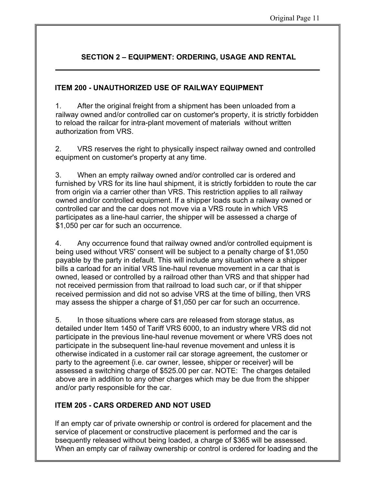## **SECTION 2 – EQUIPMENT: ORDERING, USAGE AND RENTAL**

## **ITEM 200 - UNAUTHORIZED USE OF RAILWAY EQUIPMENT**

1. After the original freight from a shipment has been unloaded from a railway owned and/or controlled car on customer's property, it is strictly forbidden to reload the railcar for intra-plant movement of materials without written authorization from VRS.

2. VRS reserves the right to physically inspect railway owned and controlled equipment on customer's property at any time.

3. When an empty railway owned and/or controlled car is ordered and furnished by VRS for its line haul shipment, it is strictly forbidden to route the car from origin via a carrier other than VRS. This restriction applies to all railway owned and/or controlled equipment. If a shipper loads such a railway owned or controlled car and the car does not move via a VRS route in which VRS participates as a line-haul carrier, the shipper will be assessed a charge of \$1,050 per car for such an occurrence.

4. Any occurrence found that railway owned and/or controlled equipment is being used without VRS' consent will be subject to a penalty charge of \$1,050 payable by the party in default. This will include any situation where a shipper bills a carload for an initial VRS line-haul revenue movement in a car that is owned, leased or controlled by a railroad other than VRS and that shipper had not received permission from that railroad to load such car, or if that shipper received permission and did not so advise VRS at the time of billing, then VRS may assess the shipper a charge of \$1,050 per car for such an occurrence.

5. In those situations where cars are released from storage status, as detailed under Item 1450 of Tariff VRS 6000, to an industry where VRS did not participate in the previous line-haul revenue movement or where VRS does not participate in the subsequent line-haul revenue movement and unless it is otherwise indicated in a customer rail car storage agreement, the customer or party to the agreement {i.e. car owner, lessee, shipper or receiver} will be assessed a switching charge of \$525.00 per car. NOTE: The charges detailed above are in addition to any other charges which may be due from the shipper and/or party responsible for the car.

## **ITEM 205 - CARS ORDERED AND NOT USED**

If an empty car of private ownership or control is ordered for placement and the service of placement or constructive placement is performed and the car is bsequently released without being loaded, a charge of \$365 will be assessed. When an empty car of railway ownership or control is ordered for loading and the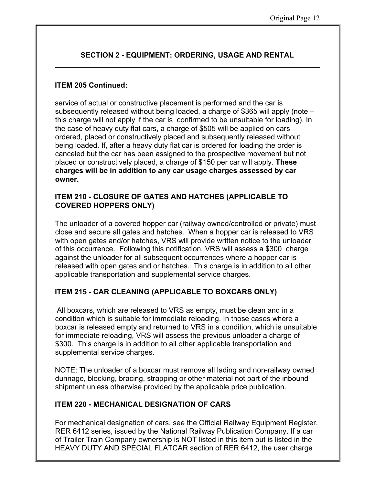## **SECTION 2 - EQUIPMENT: ORDERING, USAGE AND RENTAL**

## **ITEM 205 Continued:**

service of actual or constructive placement is performed and the car is subsequently released without being loaded, a charge of \$365 will apply (note – this charge will not apply if the car is confirmed to be unsuitable for loading). In the case of heavy duty flat cars, a charge of \$505 will be applied on cars ordered, placed or constructively placed and subsequently released without being loaded. If, after a heavy duty flat car is ordered for loading the order is canceled but the car has been assigned to the prospective movement but not placed or constructively placed, a charge of \$150 per car will apply. **These charges will be in addition to any car usage charges assessed by car owner.**

## **ITEM 210 - CLOSURE OF GATES AND HATCHES (APPLICABLE TO COVERED HOPPERS ONLY)**

The unloader of a covered hopper car (railway owned/controlled or private) must close and secure all gates and hatches. When a hopper car is released to VRS with open gates and/or hatches, VRS will provide written notice to the unloader of this occurrence. Following this notification, VRS will assess a \$300 charge against the unloader for all subsequent occurrences where a hopper car is released with open gates and or hatches. This charge is in addition to all other applicable transportation and supplemental service charges.

## **ITEM 215 - CAR CLEANING (APPLICABLE TO BOXCARS ONLY)**

All boxcars, which are released to VRS as empty, must be clean and in a condition which is suitable for immediate reloading. In those cases where a boxcar is released empty and returned to VRS in a condition, which is unsuitable for immediate reloading, VRS will assess the previous unloader a charge of \$300. This charge is in addition to all other applicable transportation and supplemental service charges.

NOTE: The unloader of a boxcar must remove all lading and non-railway owned dunnage, blocking, bracing, strapping or other material not part of the inbound shipment unless otherwise provided by the applicable price publication.

## **ITEM 220 - MECHANICAL DESIGNATION OF CARS**

For mechanical designation of cars, see the Official Railway Equipment Register, RER 6412 series, issued by the National Railway Publication Company. If a car of Trailer Train Company ownership is NOT listed in this item but is listed in the HEAVY DUTY AND SPECIAL FLATCAR section of RER 6412, the user charge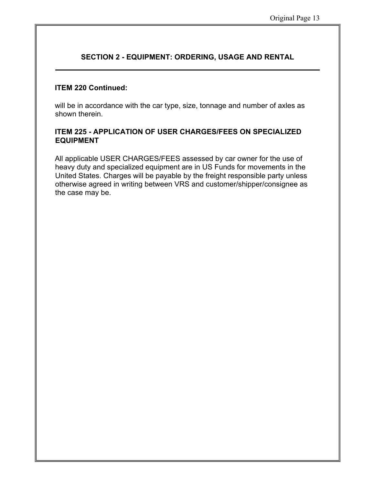## **SECTION 2 - EQUIPMENT: ORDERING, USAGE AND RENTAL**

#### **ITEM 220 Continued:**

will be in accordance with the car type, size, tonnage and number of axles as shown therein.

## **ITEM 225 - APPLICATION OF USER CHARGES/FEES ON SPECIALIZED EQUIPMENT**

All applicable USER CHARGES/FEES assessed by car owner for the use of heavy duty and specialized equipment are in US Funds for movements in the United States. Charges will be payable by the freight responsible party unless otherwise agreed in writing between VRS and customer/shipper/consignee as the case may be.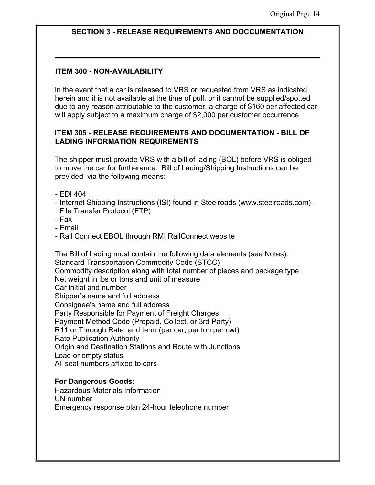## **SECTION 3 - RELEASE REQUIREMENTS AND DOCCUMENTATION**

## **ITEM 300 - NON-AVAILABILITY**

In the event that a car is released to VRS or requested from VRS as indicated herein and it is not available at the time of pull, or it cannot be supplied/spotted due to any reason attributable to the customer, a charge of \$160 per affected car will apply subject to a maximum charge of \$2,000 per customer occurrence.

#### **ITEM 305 - RELEASE REQUIREMENTS AND DOCUMENTATION - BILL OF LADING INFORMATION REQUIREMENTS**

The shipper must provide VRS with a bill of lading (BOL) before VRS is obliged to move the car for furtherance. Bill of Lading/Shipping Instructions can be provided via the following means:

- EDI 404
- Internet Shipping Instructions (ISI) found in Steelroads (www.steelroads.com) File Transfer Protocol (FTP)
- Fax
- Email
- Rail Connect EBOL through RMI RailConnect website

The Bill of Lading must contain the following data elements (see Notes): Standard Transportation Commodity Code (STCC) Commodity description along with total number of pieces and package type Net weight in lbs or tons and unit of measure Car initial and number Shipper's name and full address Consignee's name and full address Party Responsible for Payment of Freight Charges Payment Method Code (Prepaid, Collect, or 3rd Party) R11 or Through Rate and term (per car, per ton per cwt) Rate Publication Authority Origin and Destination Stations and Route with Junctions Load or empty status All seal numbers affixed to cars

#### **For Dangerous Goods:**

Hazardous Materials Information UN number Emergency response plan 24-hour telephone number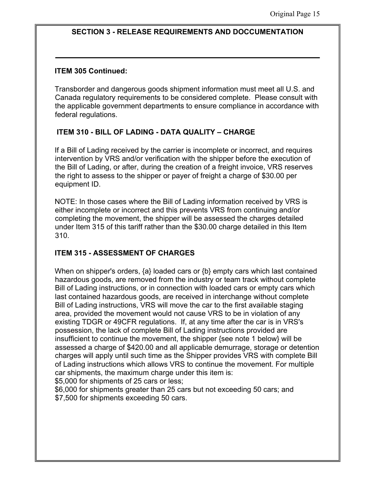#### **SECTION 3 - RELEASE REQUIREMENTS AND DOCCUMENTATION**

#### **ITEM 305 Continued:**

Transborder and dangerous goods shipment information must meet all U.S. and Canada regulatory requirements to be considered complete. Please consult with the applicable government departments to ensure compliance in accordance with federal regulations.

## **ITEM 310 - BILL OF LADING - DATA QUALITY – CHARGE**

If a Bill of Lading received by the carrier is incomplete or incorrect, and requires intervention by VRS and/or verification with the shipper before the execution of the Bill of Lading, or after, during the creation of a freight invoice, VRS reserves the right to assess to the shipper or payer of freight a charge of \$30.00 per equipment ID.

NOTE: In those cases where the Bill of Lading information received by VRS is either incomplete or incorrect and this prevents VRS from continuing and/or completing the movement, the shipper will be assessed the charges detailed under Item 315 of this tariff rather than the \$30.00 charge detailed in this Item 310.

## **ITEM 315 - ASSESSMENT OF CHARGES**

When on shipper's orders, {a} loaded cars or {b} empty cars which last contained hazardous goods, are removed from the industry or team track without complete Bill of Lading instructions, or in connection with loaded cars or empty cars which last contained hazardous goods, are received in interchange without complete Bill of Lading instructions, VRS will move the car to the first available staging area, provided the movement would not cause VRS to be in violation of any existing TDGR or 49CFR regulations. If, at any time after the car is in VRS's possession, the lack of complete Bill of Lading instructions provided are insufficient to continue the movement, the shipper {see note 1 below} will be assessed a charge of \$420.00 and all applicable demurrage, storage or detention charges will apply until such time as the Shipper provides VRS with complete Bill of Lading instructions which allows VRS to continue the movement. For multiple car shipments, the maximum charge under this item is:

\$5,000 for shipments of 25 cars or less;

\$6,000 for shipments greater than 25 cars but not exceeding 50 cars; and \$7,500 for shipments exceeding 50 cars.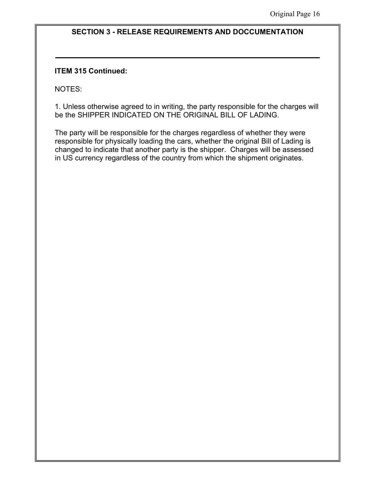#### **SECTION 3 - RELEASE REQUIREMENTS AND DOCCUMENTATION**

#### **ITEM 315 Continued:**

NOTES:

1. Unless otherwise agreed to in writing, the party responsible for the charges will be the SHIPPER INDICATED ON THE ORIGINAL BILL OF LADING.

The party will be responsible for the charges regardless of whether they were responsible for physically loading the cars, whether the original Bill of Lading is changed to indicate that another party is the shipper. Charges will be assessed in US currency regardless of the country from which the shipment originates.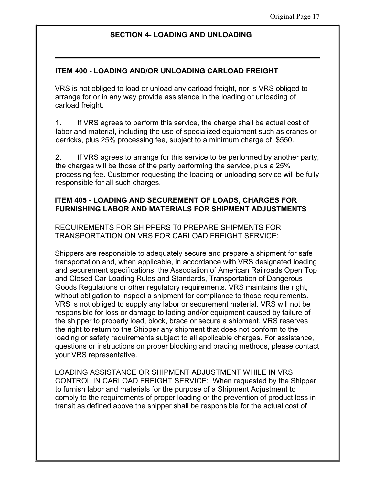#### **SECTION 4- LOADING AND UNLOADING**

#### **ITEM 400 - LOADING AND/OR UNLOADING CARLOAD FREIGHT**

VRS is not obliged to load or unload any carload freight, nor is VRS obliged to arrange for or in any way provide assistance in the loading or unloading of carload freight.

1. If VRS agrees to perform this service, the charge shall be actual cost of labor and material, including the use of specialized equipment such as cranes or derricks, plus 25% processing fee, subject to a minimum charge of \$550.

2. If VRS agrees to arrange for this service to be performed by another party, the charges will be those of the party performing the service, plus a 25% processing fee. Customer requesting the loading or unloading service will be fully responsible for all such charges.

#### **ITEM 405 - LOADING AND SECUREMENT OF LOADS, CHARGES FOR FURNISHING LABOR AND MATERIALS FOR SHIPMENT ADJUSTMENTS**

REQUIREMENTS FOR SHIPPERS T0 PREPARE SHIPMENTS FOR TRANSPORTATION ON VRS FOR CARLOAD FREIGHT SERVICE:

Shippers are responsible to adequately secure and prepare a shipment for safe transportation and, when applicable, in accordance with VRS designated loading and securement specifications, the Association of American Railroads Open Top and Closed Car Loading Rules and Standards, Transportation of Dangerous Goods Regulations or other regulatory requirements. VRS maintains the right, without obligation to inspect a shipment for compliance to those requirements. VRS is not obliged to supply any labor or securement material. VRS will not be responsible for loss or damage to lading and/or equipment caused by failure of the shipper to properly load, block, brace or secure a shipment. VRS reserves the right to return to the Shipper any shipment that does not conform to the loading or safety requirements subject to all applicable charges. For assistance, questions or instructions on proper blocking and bracing methods, please contact your VRS representative.

LOADING ASSISTANCE OR SHIPMENT ADJUSTMENT WHILE IN VRS CONTROL IN CARLOAD FREIGHT SERVICE: When requested by the Shipper to furnish labor and materials for the purpose of a Shipment Adjustment to comply to the requirements of proper loading or the prevention of product loss in transit as defined above the shipper shall be responsible for the actual cost of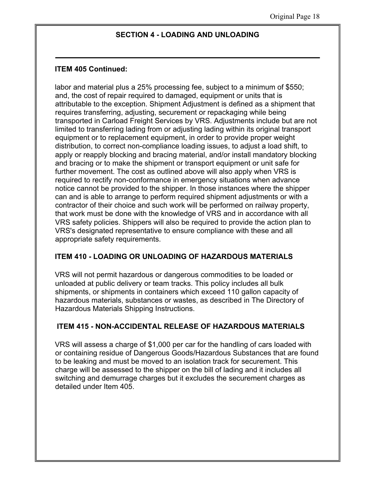#### **SECTION 4 - LOADING AND UNLOADING**

#### **ITEM 405 Continued:**

labor and material plus a 25% processing fee, subject to a minimum of \$550; and, the cost of repair required to damaged, equipment or units that is attributable to the exception. Shipment Adjustment is defined as a shipment that requires transferring, adjusting, securement or repackaging while being transported in Carload Freight Services by VRS. Adjustments include but are not limited to transferring lading from or adjusting lading within its original transport equipment or to replacement equipment, in order to provide proper weight distribution, to correct non-compliance loading issues, to adjust a load shift, to apply or reapply blocking and bracing material, and/or install mandatory blocking and bracing or to make the shipment or transport equipment or unit safe for further movement. The cost as outlined above will also apply when VRS is required to rectify non-conformance in emergency situations when advance notice cannot be provided to the shipper. In those instances where the shipper can and is able to arrange to perform required shipment adjustments or with a contractor of their choice and such work will be performed on railway property, that work must be done with the knowledge of VRS and in accordance with all VRS safety policies. Shippers will also be required to provide the action plan to VRS's designated representative to ensure compliance with these and all appropriate safety requirements.

#### **ITEM 410 - LOADING OR UNLOADING OF HAZARDOUS MATERIALS**

VRS will not permit hazardous or dangerous commodities to be loaded or unloaded at public delivery or team tracks. This policy includes all bulk shipments, or shipments in containers which exceed 110 gallon capacity of hazardous materials, substances or wastes, as described in The Directory of Hazardous Materials Shipping Instructions.

#### **ITEM 415 - NON-ACCIDENTAL RELEASE OF HAZARDOUS MATERIALS**

VRS will assess a charge of \$1,000 per car for the handling of cars loaded with or containing residue of Dangerous Goods/Hazardous Substances that are found to be leaking and must be moved to an isolation track for securement. This charge will be assessed to the shipper on the bill of lading and it includes all switching and demurrage charges but it excludes the securement charges as detailed under Item 405.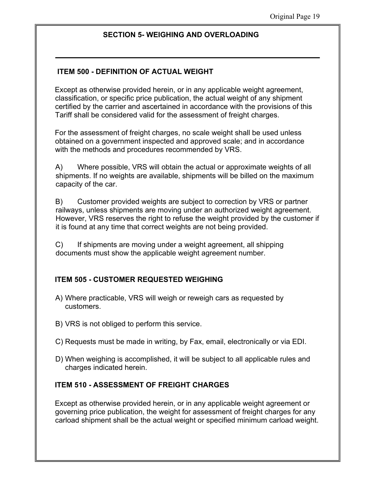## **ITEM 500 - DEFINITION OF ACTUAL WEIGHT**

Except as otherwise provided herein, or in any applicable weight agreement, classification, or specific price publication, the actual weight of any shipment certified by the carrier and ascertained in accordance with the provisions of this Tariff shall be considered valid for the assessment of freight charges.

For the assessment of freight charges, no scale weight shall be used unless obtained on a government inspected and approved scale; and in accordance with the methods and procedures recommended by VRS.

A) Where possible, VRS will obtain the actual or approximate weights of all shipments. If no weights are available, shipments will be billed on the maximum capacity of the car.

B) Customer provided weights are subject to correction by VRS or partner railways, unless shipments are moving under an authorized weight agreement. However, VRS reserves the right to refuse the weight provided by the customer if it is found at any time that correct weights are not being provided.

C) If shipments are moving under a weight agreement, all shipping documents must show the applicable weight agreement number.

#### **ITEM 505 - CUSTOMER REQUESTED WEIGHING**

- A) Where practicable, VRS will weigh or reweigh cars as requested by customers.
- B) VRS is not obliged to perform this service.
- C) Requests must be made in writing, by Fax, email, electronically or via EDI.
- D) When weighing is accomplished, it will be subject to all applicable rules and charges indicated herein.

#### **ITEM 510 - ASSESSMENT OF FREIGHT CHARGES**

Except as otherwise provided herein, or in any applicable weight agreement or governing price publication, the weight for assessment of freight charges for any carload shipment shall be the actual weight or specified minimum carload weight.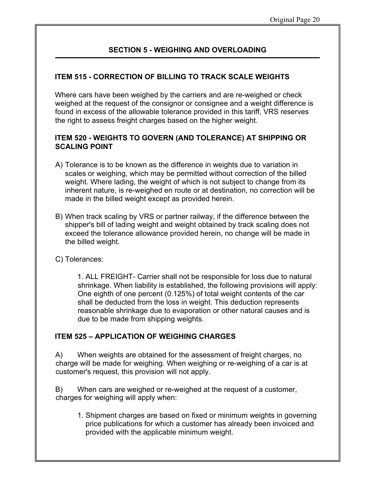## **ITEM 515 - CORRECTION OF BILLING TO TRACK SCALE WEIGHTS**

Where cars have been weighed by the carriers and are re-weighed or check weighed at the request of the consignor or consignee and a weight difference is found in excess of the allowable tolerance provided in this tariff, VRS reserves the right to assess freight charges based on the higher weight.

## **ITEM 520 - WEIGHTS TO GOVERN (AND TOLERANCE) AT SHIPPING OR SCALING POINT**

- A) Tolerance is to be known as the difference in weights due to variation in scales or weighing, which may be permitted without correction of the billed weight. Where lading, the weight of which is not subject to change from its inherent nature, is re-weighed en route or at destination, no correction will be made in the billed weight except as provided herein.
- B) When track scaling by VRS or partner railway, if the difference between the shipper's bill of lading weight and weight obtained by track scaling does not exceed the tolerance allowance provided herein, no change will be made in the billed weight.
- C) Tolerances:

1. ALL FREIGHT- Carrier shall not be responsible for loss due to natural shrinkage. When liability is established, the following provisions will apply: One eighth of one percent (0.125%) of total weight contents of the car shall be deducted from the loss in weight. This deduction represents reasonable shrinkage due to evaporation or other natural causes and is due to be made from shipping weights.

#### **ITEM 525 – APPLICATION OF WEIGHING CHARGES**

A) When weights are obtained for the assessment of freight charges, no charge will be made for weighing. When weighing or re-weighing of a car is at customer's request, this provision will not apply.

B) When cars are weighed or re-weighed at the request of a customer, charges for weighing will apply when:

1. Shipment charges are based on fixed or minimum weights in governing price publications for which a customer has already been invoiced and provided with the applicable minimum weight.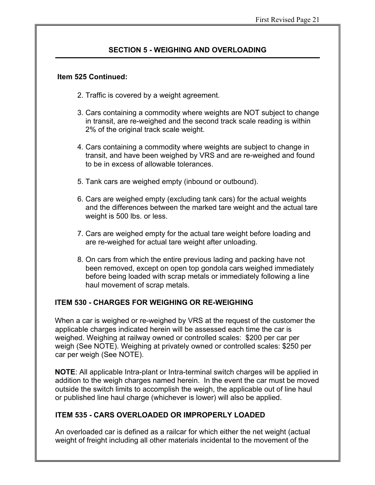#### **Item 525 Continued:**

- 2. Traffic is covered by a weight agreement.
- 3. Cars containing a commodity where weights are NOT subject to change in transit, are re-weighed and the second track scale reading is within 2% of the original track scale weight.
- 4. Cars containing a commodity where weights are subject to change in transit, and have been weighed by VRS and are re-weighed and found to be in excess of allowable tolerances.
- 5. Tank cars are weighed empty (inbound or outbound).
- 6. Cars are weighed empty (excluding tank cars) for the actual weights and the differences between the marked tare weight and the actual tare weight is 500 lbs. or less.
- 7. Cars are weighed empty for the actual tare weight before loading and are re-weighed for actual tare weight after unloading.
- 8. On cars from which the entire previous lading and packing have not been removed, except on open top gondola cars weighed immediately before being loaded with scrap metals or immediately following a line haul movement of scrap metals.

## **ITEM 530 - CHARGES FOR WEIGHING OR RE-WEIGHING**

When a car is weighed or re-weighed by VRS at the request of the customer the applicable charges indicated herein will be assessed each time the car is weighed. Weighing at railway owned or controlled scales: \$200 per car per weigh (See NOTE). Weighing at privately owned or controlled scales: \$250 per car per weigh (See NOTE).

**NOTE**: All applicable Intra-plant or Intra-terminal switch charges will be applied in addition to the weigh charges named herein. In the event the car must be moved outside the switch limits to accomplish the weigh, the applicable out of line haul or published line haul charge (whichever is lower) will also be applied.

#### **ITEM 535 - CARS OVERLOADED OR IMPROPERLY LOADED**

An overloaded car is defined as a railcar for which either the net weight (actual weight of freight including all other materials incidental to the movement of the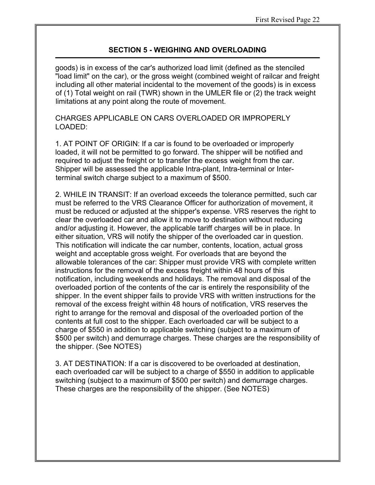goods) is in excess of the car's authorized load limit (defined as the stenciled "load limit" on the car), or the gross weight (combined weight of railcar and freight including all other material incidental to the movement of the goods) is in excess of (1) Total weight on rail (TWR) shown in the UMLER file or (2) the track weight limitations at any point along the route of movement.

CHARGES APPLICABLE ON CARS OVERLOADED OR IMPROPERLY LOADED:

1. AT POINT OF ORIGIN: If a car is found to be overloaded or improperly loaded, it will not be permitted to go forward. The shipper will be notified and required to adjust the freight or to transfer the excess weight from the car. Shipper will be assessed the applicable Intra-plant, Intra-terminal or Interterminal switch charge subject to a maximum of \$500.

2. WHILE IN TRANSIT: If an overload exceeds the tolerance permitted, such car must be referred to the VRS Clearance Officer for authorization of movement, it must be reduced or adjusted at the shipper's expense. VRS reserves the right to clear the overloaded car and allow it to move to destination without reducing and/or adjusting it. However, the applicable tariff charges will be in place. In either situation, VRS will notify the shipper of the overloaded car in question. This notification will indicate the car number, contents, location, actual gross weight and acceptable gross weight. For overloads that are beyond the allowable tolerances of the car: Shipper must provide VRS with complete written instructions for the removal of the excess freight within 48 hours of this notification, including weekends and holidays. The removal and disposal of the overloaded portion of the contents of the car is entirely the responsibility of the shipper. In the event shipper fails to provide VRS with written instructions for the removal of the excess freight within 48 hours of notification, VRS reserves the right to arrange for the removal and disposal of the overloaded portion of the contents at full cost to the shipper. Each overloaded car will be subject to a charge of \$550 in addition to applicable switching (subject to a maximum of \$500 per switch) and demurrage charges. These charges are the responsibility of the shipper. (See NOTES)

3. AT DESTINATION: If a car is discovered to be overloaded at destination, each overloaded car will be subject to a charge of \$550 in addition to applicable switching (subject to a maximum of \$500 per switch) and demurrage charges. These charges are the responsibility of the shipper. (See NOTES)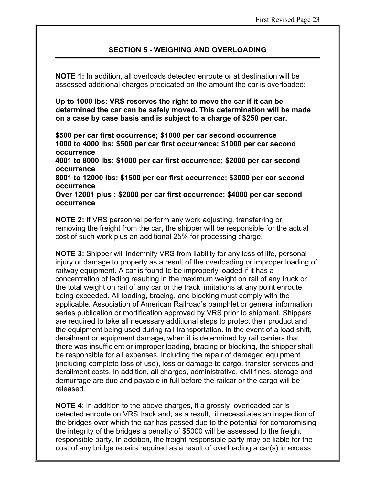**NOTE 1:** In addition, all overloads detected enroute or at destination will be assessed additional charges predicated on the amount the car is overloaded:

**Up to 1000 lbs: VRS reserves the right to move the car if it can be determined the car can be safely moved. This determination will be made on a case by case basis and is subject to a charge of \$250 per car.** 

**\$500 per car first occurrence; \$1000 per car second occurrence 1000 to 4000 lbs: \$500 per car first occurrence; \$1000 per car second occurrence 4001 to 8000 lbs: \$1000 per car first occurrence; \$2000 per car second occurrence 8001 to 12000 lbs: \$1500 per car first occurrence; \$3000 per car second occurrence**

**Over 12001 plus : \$2000 per car first occurrence; \$4000 per car second occurrence**

**NOTE 2:** If VRS personnel perform any work adjusting, transferring or removing the freight from the car, the shipper will be responsible for the actual cost of such work plus an additional 25% for processing charge.

**NOTE 3:** Shipper will indemnify VRS from liability for any loss of life, personal injury or damage to property as a result of the overloading or improper loading of railway equipment. A car is found to be improperly loaded if it has a concentration of lading resulting in the maximum weight on rail of any truck or the total weight on rail of any car or the track limitations at any point enroute being exceeded. All loading, bracing, and blocking must comply with the applicable, Association of American Railroad's pamphlet or general information series publication or modification approved by VRS prior to shipment. Shippers are required to take all necessary additional steps to protect their product and the equipment being used during rail transportation. In the event of a load shift, derailment or equipment damage, when it is determined by rail carriers that there was insufficient or improper loading, bracing or blocking, the shipper shall be responsible for all expenses, including the repair of damaged equipment (including complete loss of use), loss or damage to cargo, transfer services and derailment costs. In addition, all charges, administrative, civil fines, storage and demurrage are due and payable in full before the railcar or the cargo will be released.

**NOTE 4**: In addition to the above charges, if a grossly overloaded car is detected enroute on VRS track and, as a result, it necessitates an inspection of the bridges over which the car has passed due to the potential for compromising the integrity of the bridges a penalty of \$5000 will be assessed to the freight responsible party. In addition, the freight responsible party may be liable for the cost of any bridge repairs required as a result of overloading a car(s) in excess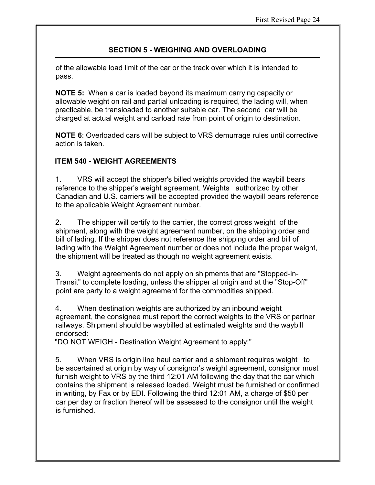of the allowable load limit of the car or the track over which it is intended to pass.

**NOTE 5:** When a car is loaded beyond its maximum carrying capacity or allowable weight on rail and partial unloading is required, the lading will, when practicable, be transloaded to another suitable car. The second car will be charged at actual weight and carload rate from point of origin to destination.

**NOTE 6**: Overloaded cars will be subject to VRS demurrage rules until corrective action is taken.

## **ITEM 540 - WEIGHT AGREEMENTS**

1. VRS will accept the shipper's billed weights provided the waybill bears reference to the shipper's weight agreement. Weights authorized by other Canadian and U.S. carriers will be accepted provided the waybill bears reference to the applicable Weight Agreement number.

2. The shipper will certify to the carrier, the correct gross weight of the shipment, along with the weight agreement number, on the shipping order and bill of lading. If the shipper does not reference the shipping order and bill of lading with the Weight Agreement number or does not include the proper weight, the shipment will be treated as though no weight agreement exists.

3. Weight agreements do not apply on shipments that are "Stopped-in-Transit" to complete loading, unless the shipper at origin and at the "Stop-Off" point are party to a weight agreement for the commodities shipped.

4. When destination weights are authorized by an inbound weight agreement, the consignee must report the correct weights to the VRS or partner railways. Shipment should be waybilled at estimated weights and the waybill endorsed:

"DO NOT WEIGH - Destination Weight Agreement to apply:"

5. When VRS is origin line haul carrier and a shipment requires weight to be ascertained at origin by way of consignor's weight agreement, consignor must furnish weight to VRS by the third 12:01 AM following the day that the car which contains the shipment is released loaded. Weight must be furnished or confirmed in writing, by Fax or by EDI. Following the third 12:01 AM, a charge of \$50 per car per day or fraction thereof will be assessed to the consignor until the weight is furnished.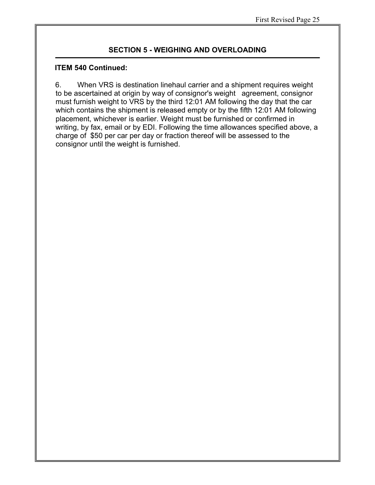#### **ITEM 540 Continued:**

6. When VRS is destination linehaul carrier and a shipment requires weight to be ascertained at origin by way of consignor's weight agreement, consignor must furnish weight to VRS by the third 12:01 AM following the day that the car which contains the shipment is released empty or by the fifth 12:01 AM following placement, whichever is earlier. Weight must be furnished or confirmed in writing, by fax, email or by EDI. Following the time allowances specified above, a charge of \$50 per car per day or fraction thereof will be assessed to the consignor until the weight is furnished.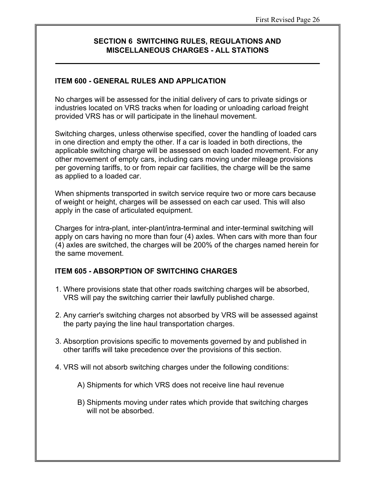## **ITEM 600 - GENERAL RULES AND APPLICATION**

No charges will be assessed for the initial delivery of cars to private sidings or industries located on VRS tracks when for loading or unloading carload freight provided VRS has or will participate in the linehaul movement.

Switching charges, unless otherwise specified, cover the handling of loaded cars in one direction and empty the other. If a car is loaded in both directions, the applicable switching charge will be assessed on each loaded movement. For any other movement of empty cars, including cars moving under mileage provisions per governing tariffs, to or from repair car facilities, the charge will be the same as applied to a loaded car.

When shipments transported in switch service require two or more cars because of weight or height, charges will be assessed on each car used. This will also apply in the case of articulated equipment.

Charges for intra-plant, inter-plant/intra-terminal and inter-terminal switching will apply on cars having no more than four (4) axles. When cars with more than four (4) axles are switched, the charges will be 200% of the charges named herein for the same movement.

## **ITEM 605 - ABSORPTION OF SWITCHING CHARGES**

- 1. Where provisions state that other roads switching charges will be absorbed, VRS will pay the switching carrier their lawfully published charge.
- 2. Any carrier's switching charges not absorbed by VRS will be assessed against the party paying the line haul transportation charges.
- 3. Absorption provisions specific to movements governed by and published in other tariffs will take precedence over the provisions of this section.
- 4. VRS will not absorb switching charges under the following conditions:
	- A) Shipments for which VRS does not receive line haul revenue
	- B) Shipments moving under rates which provide that switching charges will not be absorbed.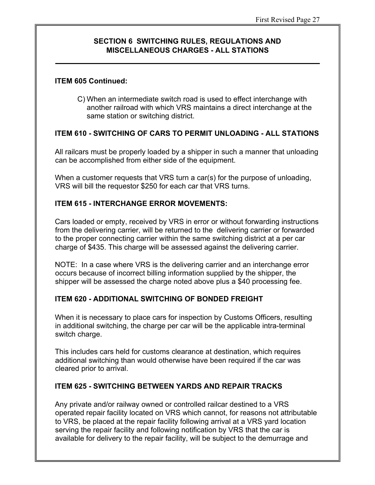#### **ITEM 605 Continued:**

C) When an intermediate switch road is used to effect interchange with another railroad with which VRS maintains a direct interchange at the same station or switching district.

## **ITEM 610 - SWITCHING OF CARS TO PERMIT UNLOADING - ALL STATIONS**

All railcars must be properly loaded by a shipper in such a manner that unloading can be accomplished from either side of the equipment.

When a customer requests that VRS turn a car(s) for the purpose of unloading, VRS will bill the requestor \$250 for each car that VRS turns.

## **ITEM 615 - INTERCHANGE ERROR MOVEMENTS:**

Cars loaded or empty, received by VRS in error or without forwarding instructions from the delivering carrier, will be returned to the delivering carrier or forwarded to the proper connecting carrier within the same switching district at a per car charge of \$435. This charge will be assessed against the delivering carrier.

NOTE: In a case where VRS is the delivering carrier and an interchange error occurs because of incorrect billing information supplied by the shipper, the shipper will be assessed the charge noted above plus a \$40 processing fee.

## **ITEM 620 - ADDITIONAL SWITCHING OF BONDED FREIGHT**

When it is necessary to place cars for inspection by Customs Officers, resulting in additional switching, the charge per car will be the applicable intra-terminal switch charge.

This includes cars held for customs clearance at destination, which requires additional switching than would otherwise have been required if the car was cleared prior to arrival.

#### **ITEM 625 - SWITCHING BETWEEN YARDS AND REPAIR TRACKS**

Any private and/or railway owned or controlled railcar destined to a VRS operated repair facility located on VRS which cannot, for reasons not attributable to VRS, be placed at the repair facility following arrival at a VRS yard location serving the repair facility and following notification by VRS that the car is available for delivery to the repair facility, will be subject to the demurrage and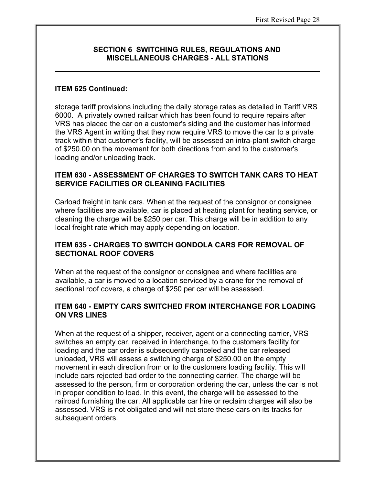#### **ITEM 625 Continued:**

storage tariff provisions including the daily storage rates as detailed in Tariff VRS 6000. A privately owned railcar which has been found to require repairs after VRS has placed the car on a customer's siding and the customer has informed the VRS Agent in writing that they now require VRS to move the car to a private track within that customer's facility, will be assessed an intra-plant switch charge of \$250.00 on the movement for both directions from and to the customer's loading and/or unloading track.

#### **ITEM 630 - ASSESSMENT OF CHARGES TO SWITCH TANK CARS TO HEAT SERVICE FACILITIES OR CLEANING FACILITIES**

Carload freight in tank cars. When at the request of the consignor or consignee where facilities are available, car is placed at heating plant for heating service, or cleaning the charge will be \$250 per car. This charge will be in addition to any local freight rate which may apply depending on location.

#### **ITEM 635 - CHARGES TO SWITCH GONDOLA CARS FOR REMOVAL OF SECTIONAL ROOF COVERS**

When at the request of the consignor or consignee and where facilities are available, a car is moved to a location serviced by a crane for the removal of sectional roof covers, a charge of \$250 per car will be assessed.

#### **ITEM 640 - EMPTY CARS SWITCHED FROM INTERCHANGE FOR LOADING ON VRS LINES**

When at the request of a shipper, receiver, agent or a connecting carrier, VRS switches an empty car, received in interchange, to the customers facility for loading and the car order is subsequently canceled and the car released unloaded, VRS will assess a switching charge of \$250.00 on the empty movement in each direction from or to the customers loading facility. This will include cars rejected bad order to the connecting carrier. The charge will be assessed to the person, firm or corporation ordering the car, unless the car is not in proper condition to load. In this event, the charge will be assessed to the railroad furnishing the car. All applicable car hire or reclaim charges will also be assessed. VRS is not obligated and will not store these cars on its tracks for subsequent orders.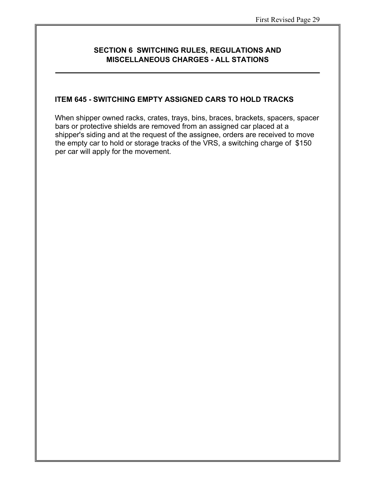#### **ITEM 645 - SWITCHING EMPTY ASSIGNED CARS TO HOLD TRACKS**

When shipper owned racks, crates, trays, bins, braces, brackets, spacers, spacer bars or protective shields are removed from an assigned car placed at a shipper's siding and at the request of the assignee, orders are received to move the empty car to hold or storage tracks of the VRS, a switching charge of \$150 per car will apply for the movement.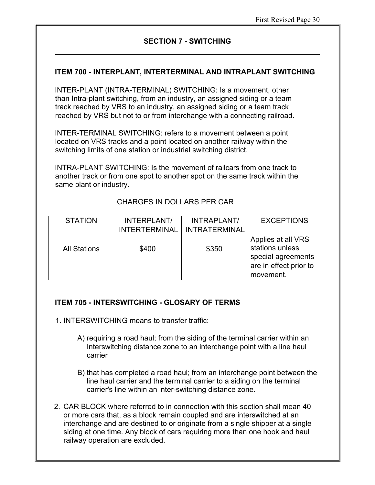#### **SECTION 7 - SWITCHING**

#### **ITEM 700 - INTERPLANT, INTERTERMINAL AND INTRAPLANT SWITCHING**

INTER-PLANT (INTRA-TERMINAL) SWITCHING: Is a movement, other than Intra-plant switching, from an industry, an assigned siding or a team track reached by VRS to an industry, an assigned siding or a team track reached by VRS but not to or from interchange with a connecting railroad.

INTER-TERMINAL SWITCHING: refers to a movement between a point located on VRS tracks and a point located on another railway within the switching limits of one station or industrial switching district.

INTRA-PLANT SWITCHING: Is the movement of railcars from one track to another track or from one spot to another spot on the same track within the same plant or industry.

#### CHARGES IN DOLLARS PER CAR

| <b>STATION</b>      | INTERPLANT/          | INTRAPLANT/          | <b>EXCEPTIONS</b>                                                                                  |
|---------------------|----------------------|----------------------|----------------------------------------------------------------------------------------------------|
|                     | <b>INTERTERMINAL</b> | <b>INTRATERMINAL</b> |                                                                                                    |
| <b>All Stations</b> | \$400                | \$350                | Applies at all VRS<br>stations unless<br>special agreements<br>are in effect prior to<br>movement. |

#### **ITEM 705 - INTERSWITCHING - GLOSARY OF TERMS**

- 1. INTERSWITCHING means to transfer traffic:
	- A) requiring a road haul; from the siding of the terminal carrier within an Interswitching distance zone to an interchange point with a line haul carrier
	- B) that has completed a road haul; from an interchange point between the line haul carrier and the terminal carrier to a siding on the terminal carrier's line within an inter-switching distance zone.
- 2. CAR BLOCK where referred to in connection with this section shall mean 40 or more cars that, as a block remain coupled and are interswitched at an interchange and are destined to or originate from a single shipper at a single siding at one time. Any block of cars requiring more than one hook and haul railway operation are excluded.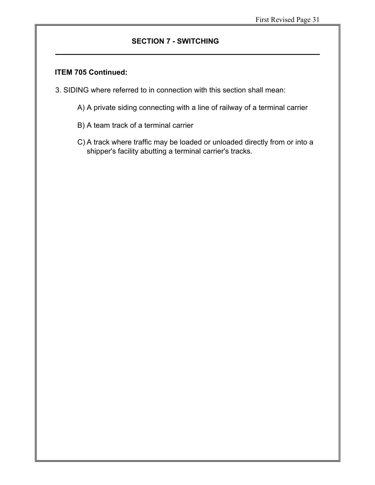## **SECTION 7 - SWITCHING**

#### **ITEM 705 Continued:**

- 3. SIDING where referred to in connection with this section shall mean:
	- A) A private siding connecting with a line of railway of a terminal carrier
	- B) A team track of a terminal carrier
	- C) A track where traffic may be loaded or unloaded directly from or into a shipper's facility abutting a terminal carrier's tracks.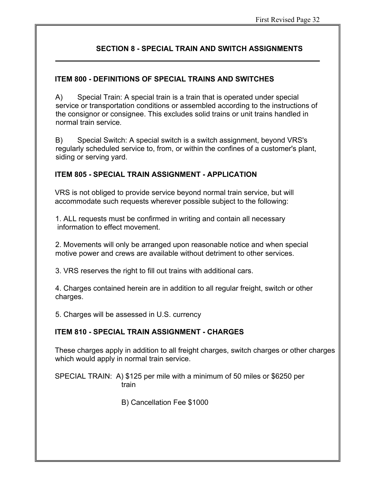## **SECTION 8 - SPECIAL TRAIN AND SWITCH ASSIGNMENTS**

## **ITEM 800 - DEFINITIONS OF SPECIAL TRAINS AND SWITCHES**

A) Special Train: A special train is a train that is operated under special service or transportation conditions or assembled according to the instructions of the consignor or consignee. This excludes solid trains or unit trains handled in normal train service.

B) Special Switch: A special switch is a switch assignment, beyond VRS's regularly scheduled service to, from, or within the confines of a customer's plant, siding or serving yard.

## **ITEM 805 - SPECIAL TRAIN ASSIGNMENT - APPLICATION**

VRS is not obliged to provide service beyond normal train service, but will accommodate such requests wherever possible subject to the following:

1. ALL requests must be confirmed in writing and contain all necessary information to effect movement.

2. Movements will only be arranged upon reasonable notice and when special motive power and crews are available without detriment to other services.

3. VRS reserves the right to fill out trains with additional cars.

4. Charges contained herein are in addition to all regular freight, switch or other charges.

5. Charges will be assessed in U.S. currency

## **ITEM 810 - SPECIAL TRAIN ASSIGNMENT - CHARGES**

These charges apply in addition to all freight charges, switch charges or other charges which would apply in normal train service.

SPECIAL TRAIN: A) \$125 per mile with a minimum of 50 miles or \$6250 per train

B) Cancellation Fee \$1000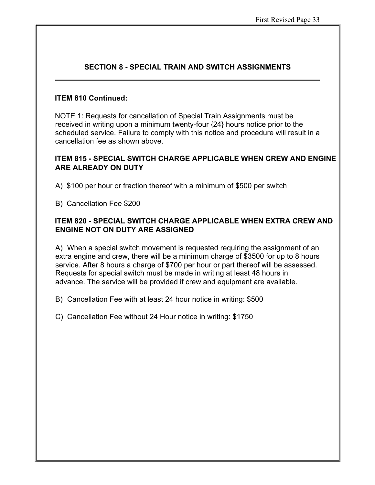## **SECTION 8 - SPECIAL TRAIN AND SWITCH ASSIGNMENTS**

#### **ITEM 810 Continued:**

NOTE 1: Requests for cancellation of Special Train Assignments must be received in writing upon a minimum twenty-four {24} hours notice prior to the scheduled service. Failure to comply with this notice and procedure will result in a cancellation fee as shown above.

## **ITEM 815 - SPECIAL SWITCH CHARGE APPLICABLE WHEN CREW AND ENGINE ARE ALREADY ON DUTY**

- A) \$100 per hour or fraction thereof with a minimum of \$500 per switch
- B) Cancellation Fee \$200

## **ITEM 820 - SPECIAL SWITCH CHARGE APPLICABLE WHEN EXTRA CREW AND ENGINE NOT ON DUTY ARE ASSIGNED**

A) When a special switch movement is requested requiring the assignment of an extra engine and crew, there will be a minimum charge of \$3500 for up to 8 hours service. After 8 hours a charge of \$700 per hour or part thereof will be assessed. Requests for special switch must be made in writing at least 48 hours in advance. The service will be provided if crew and equipment are available.

B) Cancellation Fee with at least 24 hour notice in writing: \$500

C) Cancellation Fee without 24 Hour notice in writing: \$1750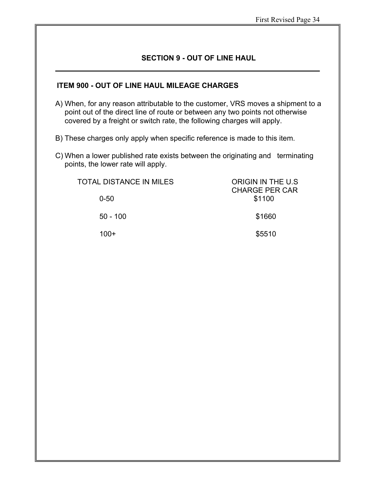## **SECTION 9 - OUT OF LINE HAUL**

#### **ITEM 900 - OUT OF LINE HAUL MILEAGE CHARGES**

- A) When, for any reason attributable to the customer, VRS moves a shipment to a point out of the direct line of route or between any two points not otherwise covered by a freight or switch rate, the following charges will apply.
- B) These charges only apply when specific reference is made to this item.
- C) When a lower published rate exists between the originating and terminating points, the lower rate will apply.

| TOTAL DISTANCE IN MILES | ORIGIN IN THE U.S.<br><b>CHARGE PER CAR</b> |
|-------------------------|---------------------------------------------|
| $0 - 50$                | \$1100                                      |
| $50 - 100$              | \$1660                                      |
| $100+$                  | \$5510                                      |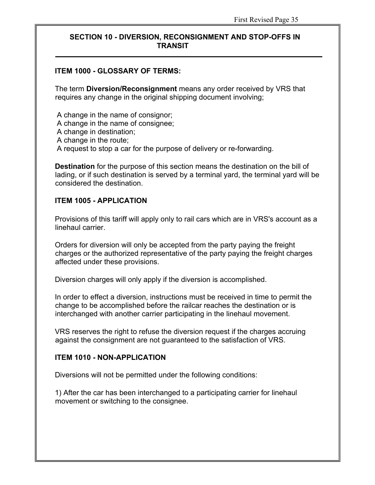#### **ITEM 1000 - GLOSSARY OF TERMS:**

The term **Diversion/Reconsignment** means any order received by VRS that requires any change in the original shipping document involving;

A change in the name of consignor; A change in the name of consignee; A change in destination; A change in the route; A request to stop a car for the purpose of delivery or re-forwarding.

**Destination** for the purpose of this section means the destination on the bill of lading, or if such destination is served by a terminal yard, the terminal yard will be considered the destination.

#### **ITEM 1005 - APPLICATION**

Provisions of this tariff will apply only to rail cars which are in VRS's account as a linehaul carrier.

Orders for diversion will only be accepted from the party paying the freight charges or the authorized representative of the party paying the freight charges affected under these provisions.

Diversion charges will only apply if the diversion is accomplished.

In order to effect a diversion, instructions must be received in time to permit the change to be accomplished before the railcar reaches the destination or is interchanged with another carrier participating in the linehaul movement.

VRS reserves the right to refuse the diversion request if the charges accruing against the consignment are not guaranteed to the satisfaction of VRS.

#### **ITEM 1010 - NON-APPLICATION**

Diversions will not be permitted under the following conditions:

1) After the car has been interchanged to a participating carrier for linehaul movement or switching to the consignee.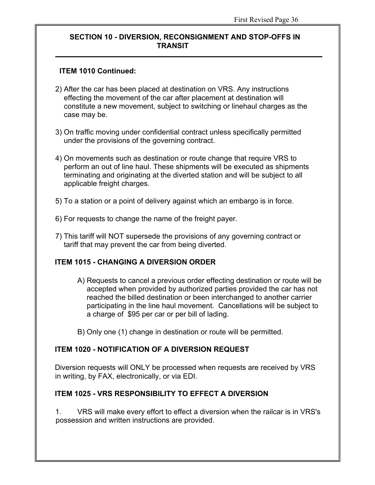## **ITEM 1010 Continued:**

- 2) After the car has been placed at destination on VRS. Any instructions effecting the movement of the car after placement at destination will constitute a new movement, subject to switching or linehaul charges as the case may be.
- 3) On traffic moving under confidential contract unless specifically permitted under the provisions of the governing contract.
- 4) On movements such as destination or route change that require VRS to perform an out of line haul. These shipments will be executed as shipments terminating and originating at the diverted station and will be subject to all applicable freight charges.
- 5) To a station or a point of delivery against which an embargo is in force.
- 6) For requests to change the name of the freight payer.
- 7) This tariff will NOT supersede the provisions of any governing contract or tariff that may prevent the car from being diverted.

## **ITEM 1015 - CHANGING A DIVERSION ORDER**

- A) Requests to cancel a previous order effecting destination or route will be accepted when provided by authorized parties provided the car has not reached the billed destination or been interchanged to another carrier participating in the line haul movement. Cancellations will be subject to a charge of \$95 per car or per bill of lading.
- B) Only one (1) change in destination or route will be permitted.

#### **ITEM 1020 - NOTIFICATION OF A DIVERSION REQUEST**

Diversion requests will ONLY be processed when requests are received by VRS in writing, by FAX, electronically, or via EDI.

## **ITEM 1025 - VRS RESPONSIBILITY TO EFFECT A DIVERSION**

1. VRS will make every effort to effect a diversion when the railcar is in VRS's possession and written instructions are provided.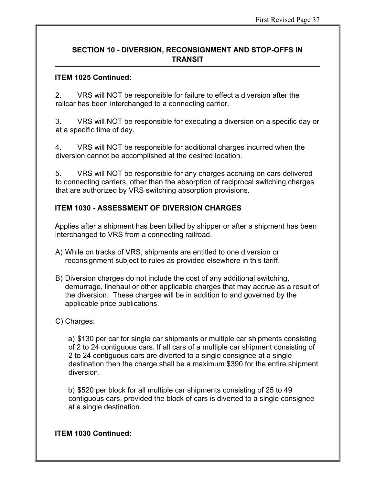#### **ITEM 1025 Continued:**

2. VRS will NOT be responsible for failure to effect a diversion after the railcar has been interchanged to a connecting carrier.

3. VRS will NOT be responsible for executing a diversion on a specific day or at a specific time of day.

4. VRS will NOT be responsible for additional charges incurred when the diversion cannot be accomplished at the desired location.

5. VRS will NOT be responsible for any charges accruing on cars delivered to connecting carriers, other than the absorption of reciprocal switching charges that are authorized by VRS switching absorption provisions.

## **ITEM 1030 - ASSESSMENT OF DIVERSION CHARGES**

Applies after a shipment has been billed by shipper or after a shipment has been interchanged to VRS from a connecting railroad.

- A) While on tracks of VRS, shipments are entitled to one diversion or reconsignment subject to rules as provided elsewhere in this tariff.
- B) Diversion charges do not include the cost of any additional switching, demurrage, linehaul or other applicable charges that may accrue as a result of the diversion. These charges will be in addition to and governed by the applicable price publications.

## C) Charges:

a) \$130 per car for single car shipments or multiple car shipments consisting of 2 to 24 contiguous cars. If all cars of a multiple car shipment consisting of 2 to 24 contiguous cars are diverted to a single consignee at a single destination then the charge shall be a maximum \$390 for the entire shipment diversion.

b) \$520 per block for all multiple car shipments consisting of 25 to 49 contiguous cars, provided the block of cars is diverted to a single consignee at a single destination.

#### **ITEM 1030 Continued:**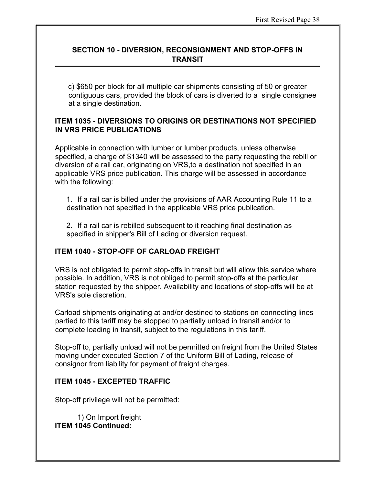c) \$650 per block for all multiple car shipments consisting of 50 or greater contiguous cars, provided the block of cars is diverted to a single consignee at a single destination.

## **ITEM 1035 - DIVERSIONS TO ORIGINS OR DESTINATIONS NOT SPECIFIED IN VRS PRICE PUBLICATIONS**

Applicable in connection with lumber or lumber products, unless otherwise specified, a charge of \$1340 will be assessed to the party requesting the rebill or diversion of a rail car, originating on VRS,to a destination not specified in an applicable VRS price publication. This charge will be assessed in accordance with the following:

1. If a rail car is billed under the provisions of AAR Accounting Rule 11 to a destination not specified in the applicable VRS price publication.

2. If a rail car is rebilled subsequent to it reaching final destination as specified in shipper's Bill of Lading or diversion request.

## **ITEM 1040 - STOP-OFF OF CARLOAD FREIGHT**

VRS is not obligated to permit stop-offs in transit but will allow this service where possible. In addition, VRS is not obliged to permit stop-offs at the particular station requested by the shipper. Availability and locations of stop-offs will be at VRS's sole discretion.

Carload shipments originating at and/or destined to stations on connecting lines partied to this tariff may be stopped to partially unload in transit and/or to complete loading in transit, subject to the regulations in this tariff.

Stop-off to, partially unload will not be permitted on freight from the United States moving under executed Section 7 of the Uniform Bill of Lading, release of consignor from liability for payment of freight charges.

#### **ITEM 1045 - EXCEPTED TRAFFIC**

Stop-off privilege will not be permitted:

1) On Import freight **ITEM 1045 Continued:**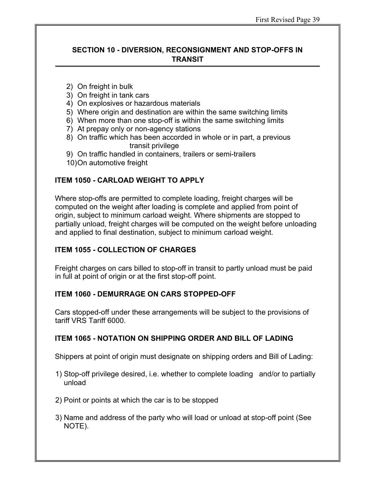- 2) On freight in bulk
- 3) On freight in tank cars
- 4) On explosives or hazardous materials
- 5) Where origin and destination are within the same switching limits
- 6) When more than one stop-off is within the same switching limits
- 7) At prepay only or non-agency stations
- 8) On traffic which has been accorded in whole or in part, a previous transit privilege
- 9) On traffic handled in containers, trailers or semi-trailers
- 10)On automotive freight

## **ITEM 1050 - CARLOAD WEIGHT TO APPLY**

Where stop-offs are permitted to complete loading, freight charges will be computed on the weight after loading is complete and applied from point of origin, subject to minimum carload weight. Where shipments are stopped to partially unload, freight charges will be computed on the weight before unloading and applied to final destination, subject to minimum carload weight.

#### **ITEM 1055 - COLLECTION OF CHARGES**

Freight charges on cars billed to stop-off in transit to partly unload must be paid in full at point of origin or at the first stop-off point.

#### **ITEM 1060 - DEMURRAGE ON CARS STOPPED-OFF**

Cars stopped-off under these arrangements will be subject to the provisions of tariff VRS Tariff 6000.

#### **ITEM 1065 - NOTATION ON SHIPPING ORDER AND BILL OF LADING**

Shippers at point of origin must designate on shipping orders and Bill of Lading:

- 1) Stop-off privilege desired, i.e. whether to complete loading and/or to partially unload
- 2) Point or points at which the car is to be stopped
- 3) Name and address of the party who will load or unload at stop-off point (See NOTE).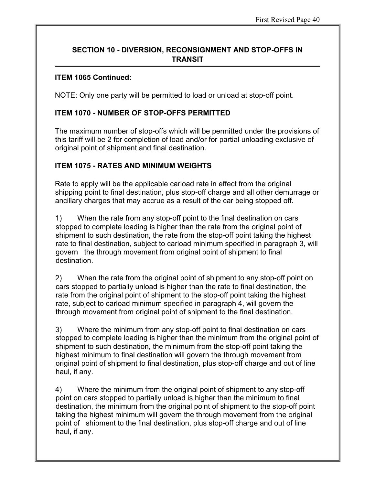#### **ITEM 1065 Continued:**

NOTE: Only one party will be permitted to load or unload at stop-off point.

## **ITEM 1070 - NUMBER OF STOP-OFFS PERMITTED**

The maximum number of stop-offs which will be permitted under the provisions of this tariff will be 2 for completion of load and/or for partial unloading exclusive of original point of shipment and final destination.

## **ITEM 1075 - RATES AND MINIMUM WEIGHTS**

Rate to apply will be the applicable carload rate in effect from the original shipping point to final destination, plus stop-off charge and all other demurrage or ancillary charges that may accrue as a result of the car being stopped off.

1) When the rate from any stop-off point to the final destination on cars stopped to complete loading is higher than the rate from the original point of shipment to such destination, the rate from the stop-off point taking the highest rate to final destination, subject to carload minimum specified in paragraph 3, will govern the through movement from original point of shipment to final destination.

2) When the rate from the original point of shipment to any stop-off point on cars stopped to partially unload is higher than the rate to final destination, the rate from the original point of shipment to the stop-off point taking the highest rate, subject to carload minimum specified in paragraph 4, will govern the through movement from original point of shipment to the final destination.

3) Where the minimum from any stop-off point to final destination on cars stopped to complete loading is higher than the minimum from the original point of shipment to such destination, the minimum from the stop-off point taking the highest minimum to final destination will govern the through movement from original point of shipment to final destination, plus stop-off charge and out of line haul, if any.

4) Where the minimum from the original point of shipment to any stop-off point on cars stopped to partially unload is higher than the minimum to final destination, the minimum from the original point of shipment to the stop-off point taking the highest minimum will govern the through movement from the original point of shipment to the final destination, plus stop-off charge and out of line haul, if any.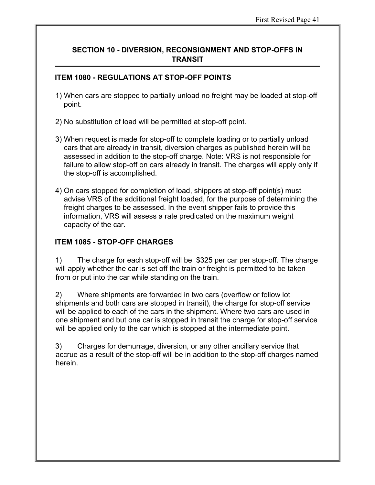## **ITEM 1080 - REGULATIONS AT STOP-OFF POINTS**

- 1) When cars are stopped to partially unload no freight may be loaded at stop-off point.
- 2) No substitution of load will be permitted at stop-off point.
- 3) When request is made for stop-off to complete loading or to partially unload cars that are already in transit, diversion charges as published herein will be assessed in addition to the stop-off charge. Note: VRS is not responsible for failure to allow stop-off on cars already in transit. The charges will apply only if the stop-off is accomplished.
- 4) On cars stopped for completion of load, shippers at stop-off point(s) must advise VRS of the additional freight loaded, for the purpose of determining the freight charges to be assessed. In the event shipper fails to provide this information, VRS will assess a rate predicated on the maximum weight capacity of the car.

## **ITEM 1085 - STOP-OFF CHARGES**

1) The charge for each stop-off will be \$325 per car per stop-off. The charge will apply whether the car is set off the train or freight is permitted to be taken from or put into the car while standing on the train.

2) Where shipments are forwarded in two cars (overflow or follow lot shipments and both cars are stopped in transit), the charge for stop-off service will be applied to each of the cars in the shipment. Where two cars are used in one shipment and but one car is stopped in transit the charge for stop-off service will be applied only to the car which is stopped at the intermediate point.

3) Charges for demurrage, diversion, or any other ancillary service that accrue as a result of the stop-off will be in addition to the stop-off charges named herein.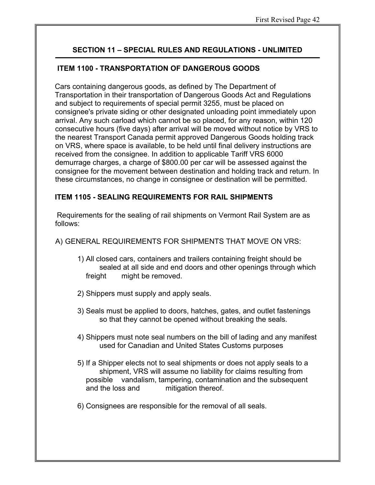#### **ITEM 1100 - TRANSPORTATION OF DANGEROUS GOODS**

Cars containing dangerous goods, as defined by The Department of Transportation in their transportation of Dangerous Goods Act and Regulations and subject to requirements of special permit 3255, must be placed on consignee's private siding or other designated unloading point immediately upon arrival. Any such carload which cannot be so placed, for any reason, within 120 consecutive hours (five days) after arrival will be moved without notice by VRS to the nearest Transport Canada permit approved Dangerous Goods holding track on VRS, where space is available, to be held until final delivery instructions are received from the consignee. In addition to applicable Tariff VRS 6000 demurrage charges, a charge of \$800.00 per car will be assessed against the consignee for the movement between destination and holding track and return. In these circumstances, no change in consignee or destination will be permitted.

## **ITEM 1105 - SEALING REQUIREMENTS FOR RAIL SHIPMENTS**

Requirements for the sealing of rail shipments on Vermont Rail System are as follows:

A) GENERAL REQUIREMENTS FOR SHIPMENTS THAT MOVE ON VRS:

- 1) All closed cars, containers and trailers containing freight should be sealed at all side and end doors and other openings through which freight might be removed.
- 2) Shippers must supply and apply seals.
- 3) Seals must be applied to doors, hatches, gates, and outlet fastenings so that they cannot be opened without breaking the seals.
- 4) Shippers must note seal numbers on the bill of lading and any manifest used for Canadian and United States Customs purposes
- 5) If a Shipper elects not to seal shipments or does not apply seals to a shipment, VRS will assume no liability for claims resulting from possible vandalism, tampering, contamination and the subsequent and the loss and mitigation thereof.
- 6) Consignees are responsible for the removal of all seals.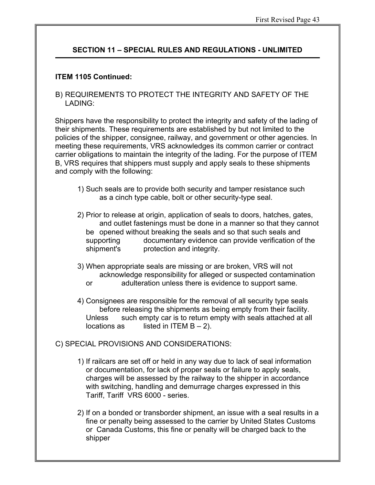#### **ITEM 1105 Continued:**

B) REQUIREMENTS TO PROTECT THE INTEGRITY AND SAFETY OF THE LADING:

Shippers have the responsibility to protect the integrity and safety of the lading of their shipments. These requirements are established by but not limited to the policies of the shipper, consignee, railway, and government or other agencies. In meeting these requirements, VRS acknowledges its common carrier or contract carrier obligations to maintain the integrity of the lading. For the purpose of ITEM B, VRS requires that shippers must supply and apply seals to these shipments and comply with the following:

- 1) Such seals are to provide both security and tamper resistance such as a cinch type cable, bolt or other security-type seal.
- 2) Prior to release at origin, application of seals to doors, hatches, gates, and outlet fastenings must be done in a manner so that they cannot be opened without breaking the seals and so that such seals and supporting documentary evidence can provide verification of the shipment's protection and integrity.
- 3) When appropriate seals are missing or are broken, VRS will not acknowledge responsibility for alleged or suspected contamination
	- or adulteration unless there is evidence to support same.
- 4) Consignees are responsible for the removal of all security type seals before releasing the shipments as being empty from their facility. Unless such empty car is to return empty with seals attached at all locations as listed in ITEM  $B - 2$ ).
- C) SPECIAL PROVISIONS AND CONSIDERATIONS:
	- 1) If railcars are set off or held in any way due to lack of seal information or documentation, for lack of proper seals or failure to apply seals, charges will be assessed by the railway to the shipper in accordance with switching, handling and demurrage charges expressed in this Tariff, Tariff VRS 6000 - series.
	- 2) If on a bonded or transborder shipment, an issue with a seal results in a fine or penalty being assessed to the carrier by United States Customs or Canada Customs, this fine or penalty will be charged back to the shipper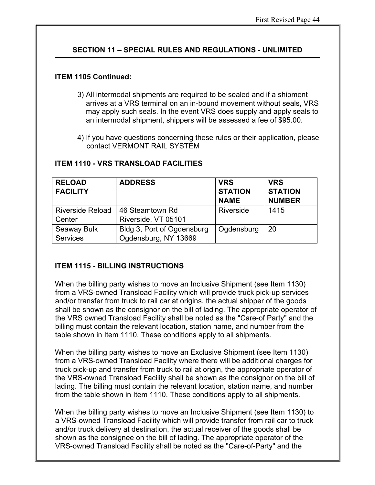#### **ITEM 1105 Continued:**

- 3) All intermodal shipments are required to be sealed and if a shipment arrives at a VRS terminal on an in-bound movement without seals, VRS may apply such seals. In the event VRS does supply and apply seals to an intermodal shipment, shippers will be assessed a fee of \$95.00.
- 4) If you have questions concerning these rules or their application, please contact VERMONT RAIL SYSTEM

| <b>RELOAD</b><br><b>FACILITY</b> | <b>ADDRESS</b>             | <b>VRS</b><br><b>STATION</b><br><b>NAME</b> | <b>VRS</b><br><b>STATION</b><br><b>NUMBER</b> |
|----------------------------------|----------------------------|---------------------------------------------|-----------------------------------------------|
| <b>Riverside Reload</b>          | 46 Steamtown Rd            | Riverside                                   | 1415                                          |
| Center                           | Riverside, VT 05101        |                                             |                                               |
| Seaway Bulk                      | Bldg 3, Port of Ogdensburg | Ogdensburg                                  | 20                                            |
| <b>Services</b>                  | Ogdensburg, NY 13669       |                                             |                                               |

#### **ITEM 1110 - VRS TRANSLOAD FACILITIES**

#### **ITEM 1115 - BILLING INSTRUCTIONS**

When the billing party wishes to move an Inclusive Shipment (see Item 1130) from a VRS-owned Transload Facility which will provide truck pick-up services and/or transfer from truck to rail car at origins, the actual shipper of the goods shall be shown as the consignor on the bill of lading. The appropriate operator of the VRS owned Transload Facility shall be noted as the "Care-of Party" and the billing must contain the relevant location, station name, and number from the table shown in Item 1110. These conditions apply to all shipments.

When the billing party wishes to move an Exclusive Shipment (see Item 1130) from a VRS-owned Transload Facility where there will be additional charges for truck pick-up and transfer from truck to rail at origin, the appropriate operator of the VRS-owned Transload Facility shall be shown as the consignor on the bill of lading. The billing must contain the relevant location, station name, and number from the table shown in Item 1110. These conditions apply to all shipments.

When the billing party wishes to move an Inclusive Shipment (see Item 1130) to a VRS-owned Transload Facility which will provide transfer from rail car to truck and/or truck delivery at destination, the actual receiver of the goods shall be shown as the consignee on the bill of lading. The appropriate operator of the VRS-owned Transload Facility shall be noted as the "Care-of-Party" and the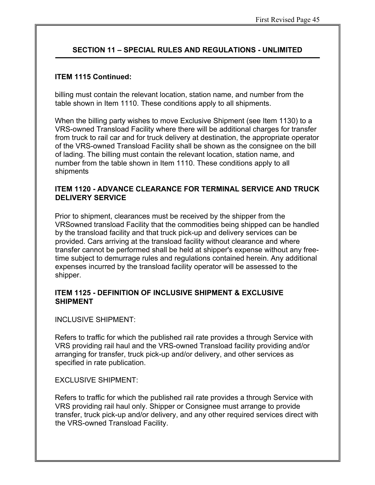#### **ITEM 1115 Continued:**

billing must contain the relevant location, station name, and number from the table shown in Item 1110. These conditions apply to all shipments.

When the billing party wishes to move Exclusive Shipment (see Item 1130) to a VRS-owned Transload Facility where there will be additional charges for transfer from truck to rail car and for truck delivery at destination, the appropriate operator of the VRS-owned Transload Facility shall be shown as the consignee on the bill of lading. The billing must contain the relevant location, station name, and number from the table shown in Item 1110. These conditions apply to all shipments

#### **ITEM 1120 - ADVANCE CLEARANCE FOR TERMINAL SERVICE AND TRUCK DELIVERY SERVICE**

Prior to shipment, clearances must be received by the shipper from the VRSowned transload Facility that the commodities being shipped can be handled by the transload facility and that truck pick-up and delivery services can be provided. Cars arriving at the transload facility without clearance and where transfer cannot be performed shall be held at shipper's expense without any freetime subject to demurrage rules and regulations contained herein. Any additional expenses incurred by the transload facility operator will be assessed to the shipper.

#### **ITEM 1125 - DEFINITION OF INCLUSIVE SHIPMENT & EXCLUSIVE SHIPMENT**

INCLUSIVE SHIPMENT:

Refers to traffic for which the published rail rate provides a through Service with VRS providing rail haul and the VRS-owned Transload facility providing and/or arranging for transfer, truck pick-up and/or delivery, and other services as specified in rate publication.

**EXCLUSIVE SHIPMENT:** 

Refers to traffic for which the published rail rate provides a through Service with VRS providing rail haul only. Shipper or Consignee must arrange to provide transfer, truck pick-up and/or delivery, and any other required services direct with the VRS-owned Transload Facility.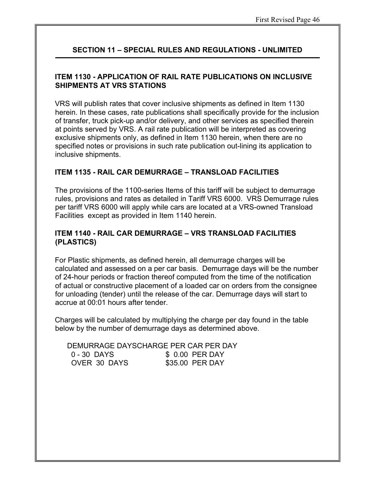## **ITEM 1130 - APPLICATION OF RAIL RATE PUBLICATIONS ON INCLUSIVE SHIPMENTS AT VRS STATIONS**

VRS will publish rates that cover inclusive shipments as defined in Item 1130 herein. In these cases, rate publications shall specifically provide for the inclusion of transfer, truck pick-up and/or delivery, and other services as specified therein at points served by VRS. A rail rate publication will be interpreted as covering exclusive shipments only, as defined in Item 1130 herein, when there are no specified notes or provisions in such rate publication out-lining its application to inclusive shipments.

#### **ITEM 1135 - RAIL CAR DEMURRAGE – TRANSLOAD FACILITIES**

The provisions of the 1100-series Items of this tariff will be subject to demurrage rules, provisions and rates as detailed in Tariff VRS 6000. VRS Demurrage rules per tariff VRS 6000 will apply while cars are located at a VRS-owned Transload Facilities except as provided in Item 1140 herein.

#### **ITEM 1140 - RAIL CAR DEMURRAGE – VRS TRANSLOAD FACILITIES (PLASTICS)**

For Plastic shipments, as defined herein, all demurrage charges will be calculated and assessed on a per car basis. Demurrage days will be the number of 24-hour periods or fraction thereof computed from the time of the notification of actual or constructive placement of a loaded car on orders from the consignee for unloading (tender) until the release of the car. Demurrage days will start to accrue at 00:01 hours after tender.

Charges will be calculated by multiplying the charge per day found in the table below by the number of demurrage days as determined above.

 DEMURRAGE DAYSCHARGE PER CAR PER DAY 0 - 30 DAYS \$ 0.00 PER DAY OVER 30 DAYS \$35.00 PER DAY